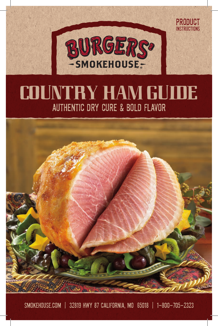

product instructions

# **COUNTRY HAM GUIDE** Authentic Dry Cure & Bold Flavor



Smokehouse.com | 32819 Hwy 87 California, MO 65018 | 1-800-705-2323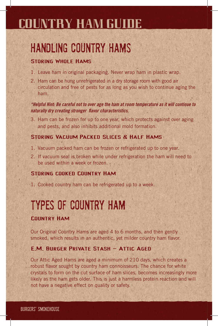## **COUNTRY HAM GUIDE**

# Handling Country Hams

## STORING WHOLF HAMS

- 1. Leave ham in original packaging. Never wrap ham in plastic wrap.
- 2. Ham can be hung unrefrigerated in a dry storage room with good air circulation and free of pests for as long as you wish to continue aging the ham.

*\*Helpful Hint: Be careful not to over age the ham at room temperature as it will continue to naturally dry creating stronger flavor characteristics.*

3. Ham can be frozen for up to one year, which protects against over aging and pests, and also inhibits additional mold formation.

## Storing Vacuum Packed Slices & Half Hams

- 1. Vacuum packed ham can be frozen or refrigerated up to one year.
- 2. If vacuum seal is broken while under refrigeration the ham will need to be used within a week or frozen.

## Storing cooked Country Ham

1. Cooked country ham can be refrigerated up to a week.

# Types of Country Ham

## Country Ham

Our Original Country Hams are aged 4 to 6 months, and then gently smoked, which results in an authentic, yet milder country ham flavor.

## **E.M. BURGER PRIVATE STASH - ATTIC AGED**

Our Attic Aged Hams are aged a minimum of 210 days, which creates a robust flavor sought by country ham connoisseurs. The chance for white crystals to form on the cut surface of ham slices, becomes increasingly more likely as the ham gets older. This is just a harmless protein reaction and will not have a negative effect on quality or safety.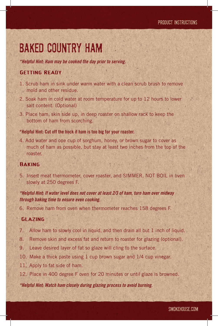## Baked Country Ham

*\*Helpful Hint: Ham may be cooked the day prior to serving.*

### Getting Ready

- 1. Scrub ham in sink under warm water with a clean scrub brush to remove mold and other residue.
- 2. Soak ham in cold water at room temperature for up to 12 hours to lower salt content. (Optional)
- 3. Place ham, skin side up, in deep roaster on shallow rack to keep the bottom of ham from scorching.

#### \*Helpful Hint: Cut off the hock if ham is too big for your roaster.

4. Add water and one cup of sorghum, honey, or brown sugar to cover as much of ham as possible, but stay at least two inches from the top of the roaster.

### **BAKING**

5. Insert meat thermometer, cover roaster, and SIMMER, NOT BOIL in oven slowly at 250 degrees F.

### *\*Helpful Hint: If water level does not cover at least 2/3 of ham, turn ham over midway through baking time to ensure even cooking.*

6. Remove ham from oven when thermometer reaches 158 degrees F.

### Glazing

- 7. Allow ham to slowly cool in liquid, and then drain all but 1 inch of liquid.
- 8. Remove skin and excess fat and return to roaster for glazing (optional).
- 9. Leave desired layer of fat so glaze will cling to the surface.
- 10. Make a thick paste using 1 cup brown sugar and 1/4 cup vinegar.
- 11. Apply to fat side of ham.
- 12. Place in 400 degree F oven for 20 minutes or until glaze is browned.

#### *\*Helpful Hint: Watch ham closely during glazing process to avoid burning.*